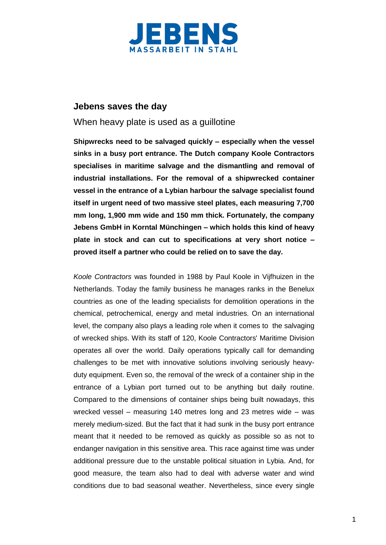

## **Jebens saves the day**

## When heavy plate is used as a guillotine

**Shipwrecks need to be salvaged quickly – especially when the vessel sinks in a busy port entrance. The Dutch company Koole Contractors specialises in maritime salvage and the dismantling and removal of industrial installations. For the removal of a shipwrecked container vessel in the entrance of a Lybian harbour the salvage specialist found itself in urgent need of two massive steel plates, each measuring 7,700 mm long, 1,900 mm wide and 150 mm thick. Fortunately, the company Jebens GmbH in Korntal Münchingen – which holds this kind of heavy plate in stock and can cut to specifications at very short notice – proved itself a partner who could be relied on to save the day.**

*Koole Contractors* was founded in 1988 by Paul Koole in Vijfhuizen in the Netherlands. Today the family business he manages ranks in the Benelux countries as one of the leading specialists for demolition operations in the chemical, petrochemical, energy and metal industries. On an international level, the company also plays a leading role when it comes to the salvaging of wrecked ships. With its staff of 120, Koole Contractors' Maritime Division operates all over the world. Daily operations typically call for demanding challenges to be met with innovative solutions involving seriously heavyduty equipment. Even so, the removal of the wreck of a container ship in the entrance of a Lybian port turned out to be anything but daily routine. Compared to the dimensions of container ships being built nowadays, this wrecked vessel – measuring 140 metres long and 23 metres wide – was merely medium-sized. But the fact that it had sunk in the busy port entrance meant that it needed to be removed as quickly as possible so as not to endanger navigation in this sensitive area. This race against time was under additional pressure due to the unstable political situation in Lybia. And, for good measure, the team also had to deal with adverse water and wind conditions due to bad seasonal weather. Nevertheless, since every single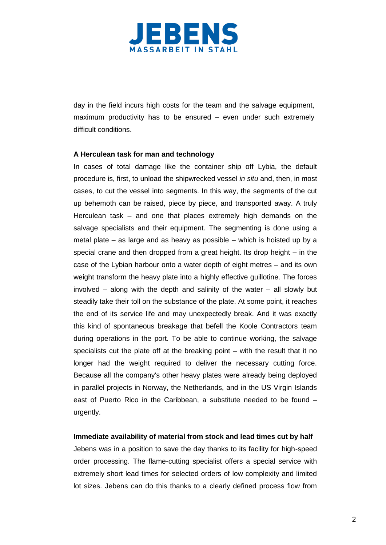

day in the field incurs high costs for the team and the salvage equipment, maximum productivity has to be ensured – even under such extremely difficult conditions.

### **A Herculean task for man and technology**

In cases of total damage like the container ship off Lybia, the default procedure is, first, to unload the shipwrecked vessel *in situ* and, then, in most cases, to cut the vessel into segments. In this way, the segments of the cut up behemoth can be raised, piece by piece, and transported away. A truly Herculean task – and one that places extremely high demands on the salvage specialists and their equipment. The segmenting is done using a metal plate – as large and as heavy as possible – which is hoisted up by a special crane and then dropped from a great height. Its drop height – in the case of the Lybian harbour onto a water depth of eight metres – and its own weight transform the heavy plate into a highly effective guillotine. The forces involved – along with the depth and salinity of the water – all slowly but steadily take their toll on the substance of the plate. At some point, it reaches the end of its service life and may unexpectedly break. And it was exactly this kind of spontaneous breakage that befell the Koole Contractors team during operations in the port. To be able to continue working, the salvage specialists cut the plate off at the breaking point – with the result that it no longer had the weight required to deliver the necessary cutting force. Because all the company's other heavy plates were already being deployed in parallel projects in Norway, the Netherlands, and in the US Virgin Islands east of Puerto Rico in the Caribbean, a substitute needed to be found – urgently.

### **Immediate availability of material from stock and lead times cut by half**

Jebens was in a position to save the day thanks to its facility for high-speed order processing. The flame-cutting specialist offers a special service with extremely short lead times for selected orders of low complexity and limited lot sizes. Jebens can do this thanks to a clearly defined process flow from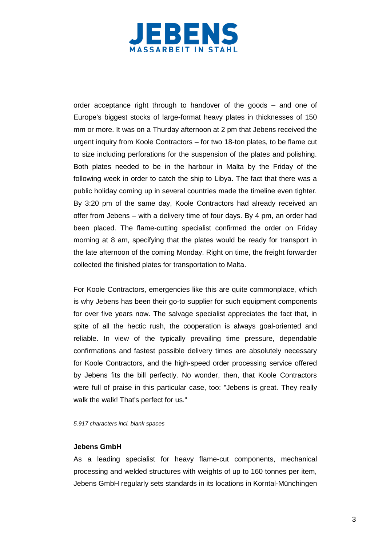

order acceptance right through to handover of the goods – and one of Europe's biggest stocks of large-format heavy plates in thicknesses of 150 mm or more. It was on a Thurday afternoon at 2 pm that Jebens received the urgent inquiry from Koole Contractors – for two 18-ton plates, to be flame cut to size including perforations for the suspension of the plates and polishing. Both plates needed to be in the harbour in Malta by the Friday of the following week in order to catch the ship to Libya. The fact that there was a public holiday coming up in several countries made the timeline even tighter. By 3:20 pm of the same day, Koole Contractors had already received an offer from Jebens – with a delivery time of four days. By 4 pm, an order had been placed. The flame-cutting specialist confirmed the order on Friday morning at 8 am, specifying that the plates would be ready for transport in the late afternoon of the coming Monday. Right on time, the freight forwarder collected the finished plates for transportation to Malta.

For Koole Contractors, emergencies like this are quite commonplace, which is why Jebens has been their go-to supplier for such equipment components for over five years now. The salvage specialist appreciates the fact that, in spite of all the hectic rush, the cooperation is always goal-oriented and reliable. In view of the typically prevailing time pressure, dependable confirmations and fastest possible delivery times are absolutely necessary for Koole Contractors, and the high-speed order processing service offered by Jebens fits the bill perfectly. No wonder, then, that Koole Contractors were full of praise in this particular case, too: "Jebens is great. They really walk the walk! That's perfect for us."

*5.917 characters incl. blank spaces*

#### **Jebens GmbH**

As a leading specialist for heavy flame-cut components, mechanical processing and welded structures with weights of up to 160 tonnes per item, Jebens GmbH regularly sets standards in its locations in Korntal-Münchingen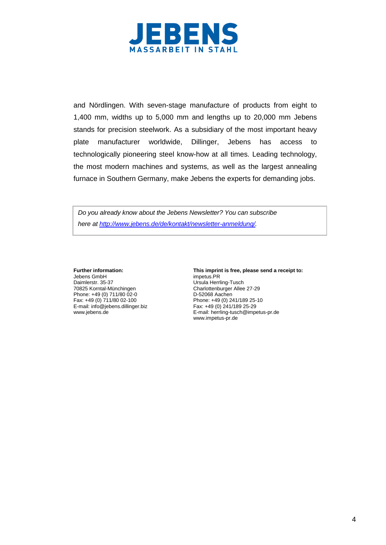

and Nördlingen. With seven-stage manufacture of products from eight to 1,400 mm, widths up to 5,000 mm and lengths up to 20,000 mm Jebens stands for precision steelwork. As a subsidiary of the most important heavy plate manufacturer worldwide, Dillinger, Jebens has access to technologically pioneering steel know-how at all times. Leading technology, the most modern machines and systems, as well as the largest annealing furnace in Southern Germany, make Jebens the experts for demanding jobs.

*Do you already know about the Jebens Newsletter? You can subscribe here at [http://www.jebens.de/de/kontakt/newsletter-anmeldung/.](http://www.jebens.de/de/kontakt/newsletter-anmeldung/)* 

Jebens GmbH<br>Daimlerstr. 35-37 Daimlerstr. 35-37 Ursula Herrling-Tusch Phone: +49 (0) 711/80 02-0<br>Fax: +49 (0) 711/80 02-100 E-mail: info@jebens.dillinger.biz Fax: +49 (0) 241/189 25-29<br>www.jebens.de E-mail: herrling-tusch@impe

**Further information: This imprint is free, please send a receipt to:**<br>Jebens GmbH<br> $\frac{1}{2}$  impetus.PR Charlottenburger Allee 27-29<br>D-52068 Aachen Phone: +49 (0) 241/189 25-10 E-mail: herrling-tusch@impetus-pr.de www.impetus-pr.de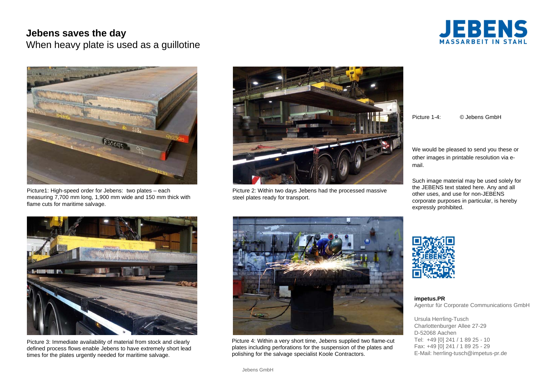# **Jebens saves the day**

When heavy plate is used as a guillotine





Picture1: High-speed order for Jebens: two plates – each measuring 7,700 mm long, 1,900 mm wide and 150 mm thick with flame cuts for maritime salvage.



Picture 2: Within two days Jebens had the processed massive steel plates ready for transport.

Picture 1-4: © Jebens GmbH

We would be pleased to send you these or other images in printable resolution via email.

Such image material may be used solely for the JEBENS text stated here. Any and all other uses, and use for non-JEBENS corporate purposes in particular, is hereby expressly prohibited.



Picture 3: Immediate availability of material from stock and clearly defined process flows enable Jebens to have extremely short lead times for the plates urgently needed for maritime salvage.



Picture 4: Within a very short time, Jebens supplied two flame-cut plates including perforations for the suspension of the plates and polishing for the salvage specialist Koole Contractors.



**impetus.PR** Agentur für Corporate Communications GmbH

Ursula Herrling-Tusch Charlottenburger Allee 27-29 D-52068 AachenTel: +49 [0] 241 / 1 89 25 - 10 Fax: +49 [0] 241 / 1 89 25 - 29 E-Mail: herrling-tusch@impetus-pr.de